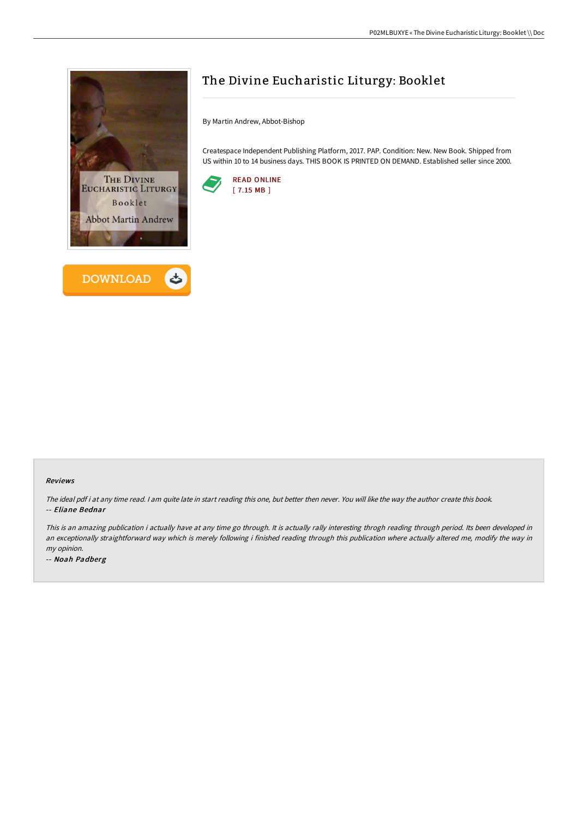



# The Divine Eucharistic Liturgy: Booklet

By Martin Andrew, Abbot-Bishop

Createspace Independent Publishing Platform, 2017. PAP. Condition: New. New Book. Shipped from US within 10 to 14 business days. THIS BOOK IS PRINTED ON DEMAND. Established seller since 2000.



#### Reviews

The ideal pdf i at any time read. I am quite late in start reading this one, but better then never. You will like the way the author create this book. -- Eliane Bednar

This is an amazing publication i actually have at any time go through. It is actually rally interesting throgh reading through period. Its been developed in an exceptionally straightforward way which is merely following i finished reading through this publication where actually altered me, modify the way in my opinion.

-- Noah Padberg